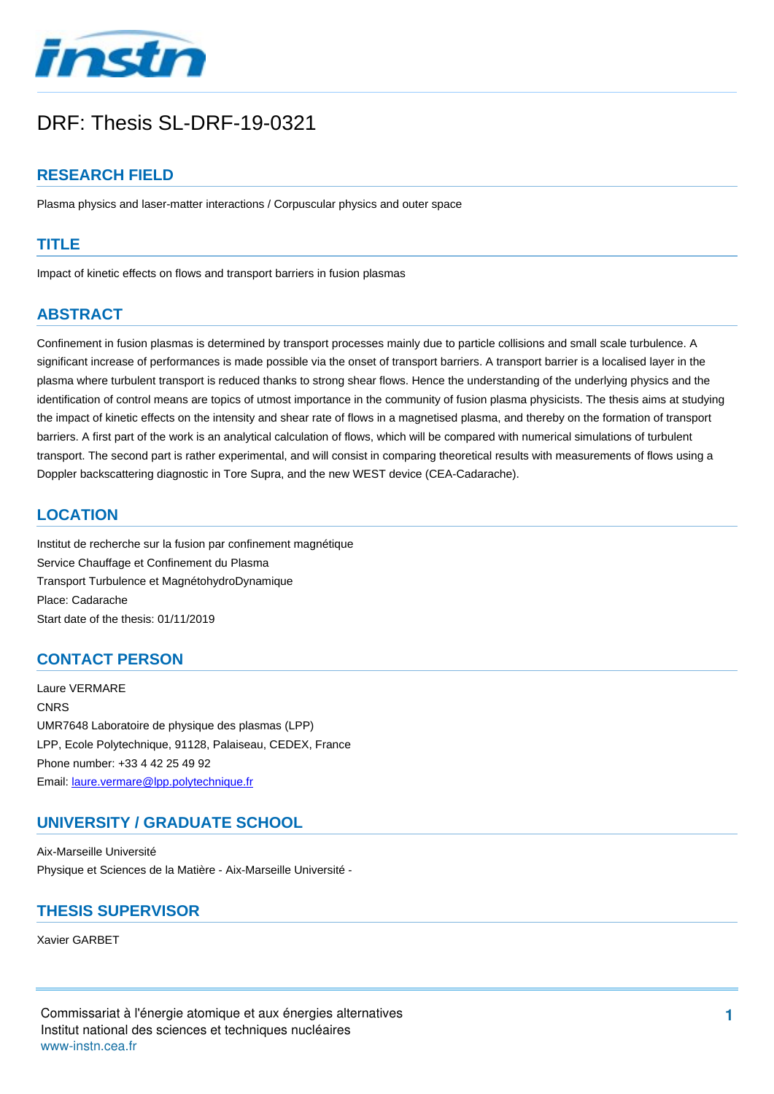

# DRF: Thesis SL-DRF-19-0321

## **RESEARCH FIELD**

Plasma physics and laser-matter interactions / Corpuscular physics and outer space

#### **TITLE**

Impact of kinetic effects on flows and transport barriers in fusion plasmas

# **ABSTRACT**

Confinement in fusion plasmas is determined by transport processes mainly due to particle collisions and small scale turbulence. A significant increase of performances is made possible via the onset of transport barriers. A transport barrier is a localised layer in the plasma where turbulent transport is reduced thanks to strong shear flows. Hence the understanding of the underlying physics and the identification of control means are topics of utmost importance in the community of fusion plasma physicists. The thesis aims at studying the impact of kinetic effects on the intensity and shear rate of flows in a magnetised plasma, and thereby on the formation of transport barriers. A first part of the work is an analytical calculation of flows, which will be compared with numerical simulations of turbulent transport. The second part is rather experimental, and will consist in comparing theoretical results with measurements of flows using a Doppler backscattering diagnostic in Tore Supra, and the new WEST device (CEA-Cadarache).

#### **LOCATION**

Institut de recherche sur la fusion par confinement magnétique Service Chauffage et Confinement du Plasma Transport Turbulence et MagnétohydroDynamique Place: Cadarache Start date of the thesis: 01/11/2019

## **CONTACT PERSON**

Laure VERMARE **CNRS** UMR7648 Laboratoire de physique des plasmas (LPP) LPP, Ecole Polytechnique, 91128, Palaiseau, CEDEX, France Phone number: +33 4 42 25 49 92 Email: [laure.vermare@lpp.polytechnique.fr](mailto:laure.vermare@lpp.polytechnique.fr?subject=DRF: Thesis SL-DRF-19-0321&body=Impact of kinetic effects on flows and transport barriers in fusion plasmas)

## **UNIVERSITY / GRADUATE SCHOOL**

Aix-Marseille Université Physique et Sciences de la Matière - Aix-Marseille Université -

#### **THESIS SUPERVISOR**

Xavier GARBET

Commissariat à l'énergie atomique et aux énergies alternatives Institut national des sciences et techniques nucléaires wwwinstn.cea.fr